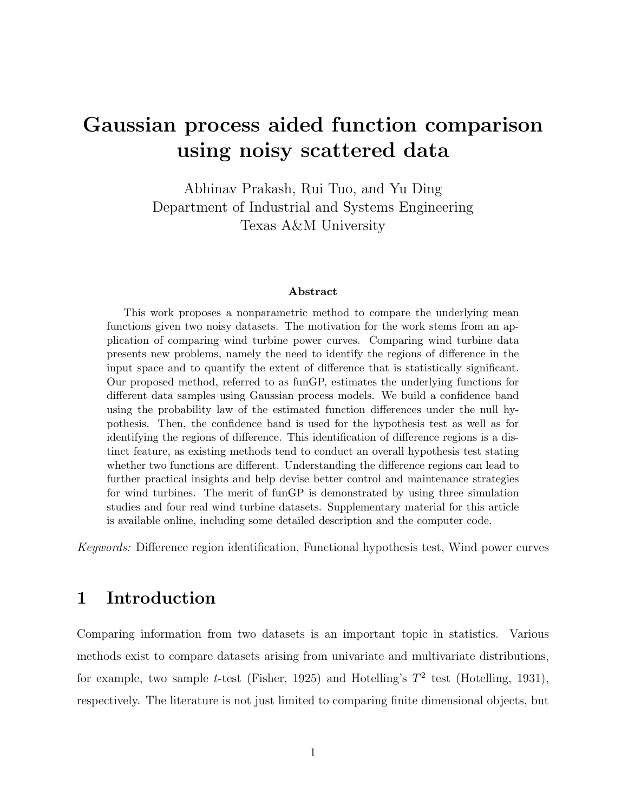# Gaussian process aided function comparison using noisy scattered data

Abhinav Prakash, Rui Tuo, and Yu Ding Department of Industrial and Systems Engineering Texas A&M University

#### Abstract

This work proposes a nonparametric method to compare the underlying mean functions given two noisy datasets. The motivation for the work stems from an application of comparing wind turbine power curves. Comparing wind turbine data presents new problems, namely the need to identify the regions of difference in the input space and to quantify the extent of difference that is statistically significant. Our proposed method, referred to as funGP, estimates the underlying functions for different data samples using Gaussian process models. We build a confidence band using the probability law of the estimated function differences under the null hypothesis. Then, the confidence band is used for the hypothesis test as well as for identifying the regions of difference. This identification of difference regions is a distinct feature, as existing methods tend to conduct an overall hypothesis test stating whether two functions are different. Understanding the difference regions can lead to further practical insights and help devise better control and maintenance strategies for wind turbines. The merit of funGP is demonstrated by using three simulation studies and four real wind turbine datasets. Supplementary material for this article is available online, including some detailed description and the computer code.

Keywords: Difference region identification, Functional hypothesis test, Wind power curves

# 1 Introduction

Comparing information from two datasets is an important topic in statistics. Various methods exist to compare datasets arising from univariate and multivariate distributions, for example, two sample t-test (Fisher, 1925) and Hotelling's  $T^2$  test (Hotelling, 1931), respectively. The literature is not just limited to comparing finite dimensional objects, but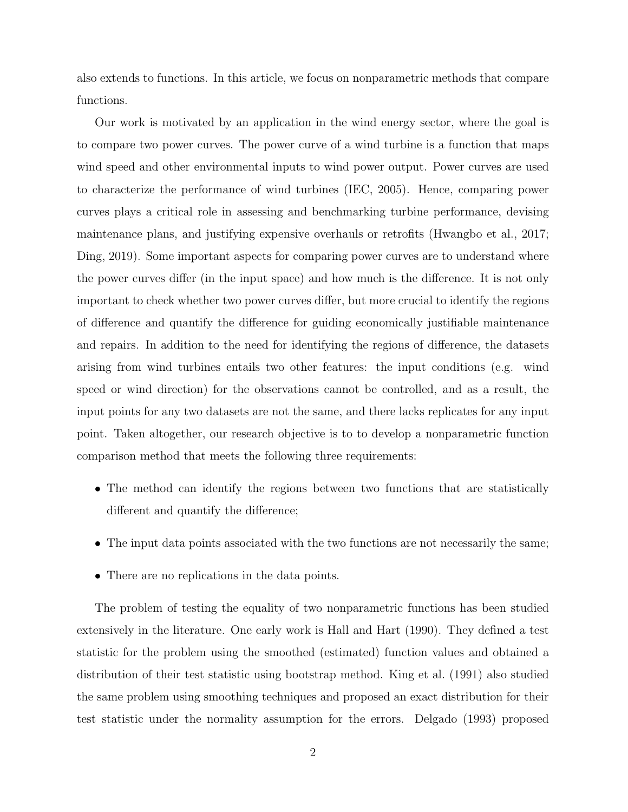also extends to functions. In this article, we focus on nonparametric methods that compare functions.

Our work is motivated by an application in the wind energy sector, where the goal is to compare two power curves. The power curve of a wind turbine is a function that maps wind speed and other environmental inputs to wind power output. Power curves are used to characterize the performance of wind turbines (IEC, 2005). Hence, comparing power curves plays a critical role in assessing and benchmarking turbine performance, devising maintenance plans, and justifying expensive overhauls or retrofits (Hwangbo et al., 2017; Ding, 2019). Some important aspects for comparing power curves are to understand where the power curves differ (in the input space) and how much is the difference. It is not only important to check whether two power curves differ, but more crucial to identify the regions of difference and quantify the difference for guiding economically justifiable maintenance and repairs. In addition to the need for identifying the regions of difference, the datasets arising from wind turbines entails two other features: the input conditions (e.g. wind speed or wind direction) for the observations cannot be controlled, and as a result, the input points for any two datasets are not the same, and there lacks replicates for any input point. Taken altogether, our research objective is to to develop a nonparametric function comparison method that meets the following three requirements:

- The method can identify the regions between two functions that are statistically different and quantify the difference;
- The input data points associated with the two functions are not necessarily the same;
- There are no replications in the data points.

The problem of testing the equality of two nonparametric functions has been studied extensively in the literature. One early work is Hall and Hart (1990). They defined a test statistic for the problem using the smoothed (estimated) function values and obtained a distribution of their test statistic using bootstrap method. King et al. (1991) also studied the same problem using smoothing techniques and proposed an exact distribution for their test statistic under the normality assumption for the errors. Delgado (1993) proposed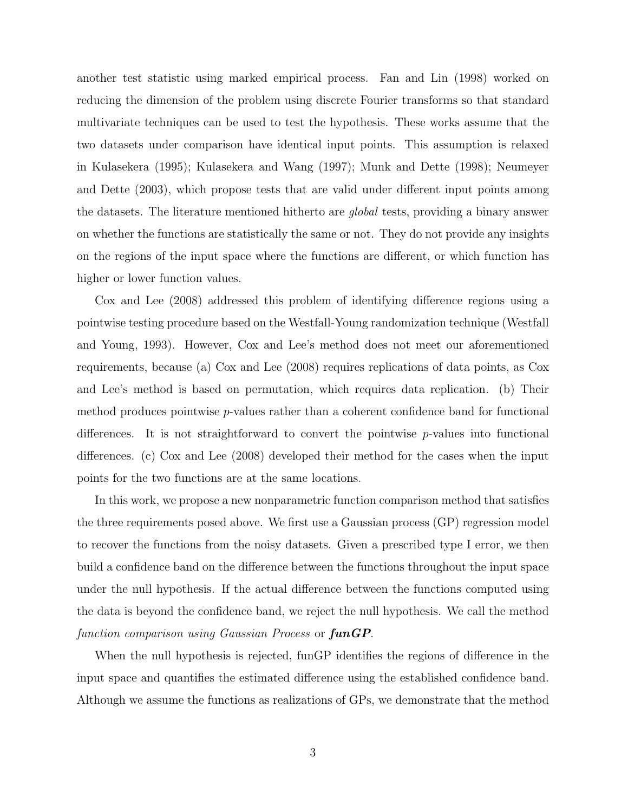another test statistic using marked empirical process. Fan and Lin (1998) worked on reducing the dimension of the problem using discrete Fourier transforms so that standard multivariate techniques can be used to test the hypothesis. These works assume that the two datasets under comparison have identical input points. This assumption is relaxed in Kulasekera (1995); Kulasekera and Wang (1997); Munk and Dette (1998); Neumeyer and Dette (2003), which propose tests that are valid under different input points among the datasets. The literature mentioned hitherto are global tests, providing a binary answer on whether the functions are statistically the same or not. They do not provide any insights on the regions of the input space where the functions are different, or which function has higher or lower function values.

Cox and Lee (2008) addressed this problem of identifying difference regions using a pointwise testing procedure based on the Westfall-Young randomization technique (Westfall and Young, 1993). However, Cox and Lee's method does not meet our aforementioned requirements, because (a) Cox and Lee (2008) requires replications of data points, as Cox and Lee's method is based on permutation, which requires data replication. (b) Their method produces pointwise p-values rather than a coherent confidence band for functional differences. It is not straightforward to convert the pointwise p-values into functional differences. (c) Cox and Lee (2008) developed their method for the cases when the input points for the two functions are at the same locations.

In this work, we propose a new nonparametric function comparison method that satisfies the three requirements posed above. We first use a Gaussian process (GP) regression model to recover the functions from the noisy datasets. Given a prescribed type I error, we then build a confidence band on the difference between the functions throughout the input space under the null hypothesis. If the actual difference between the functions computed using the data is beyond the confidence band, we reject the null hypothesis. We call the method function comparison using Gaussian Process or  $funGP$ .

When the null hypothesis is rejected, funGP identifies the regions of difference in the input space and quantifies the estimated difference using the established confidence band. Although we assume the functions as realizations of GPs, we demonstrate that the method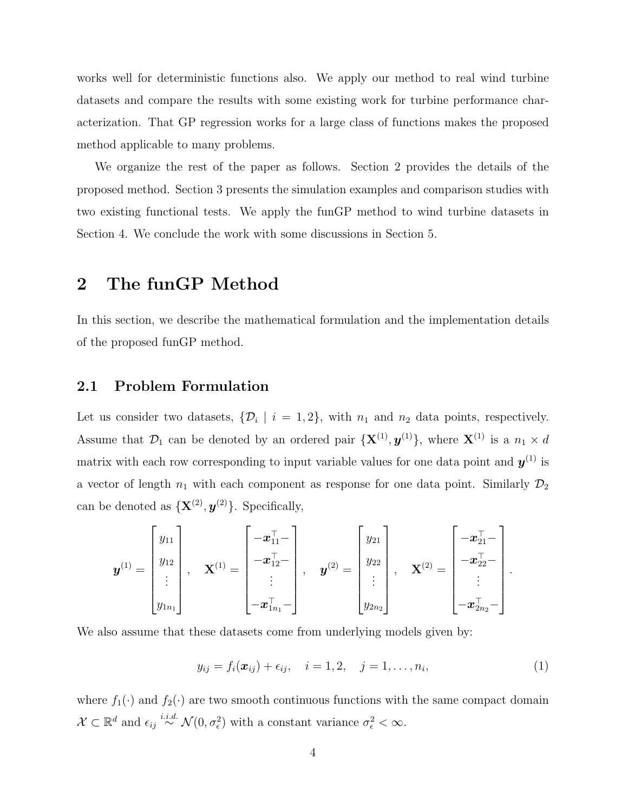works well for deterministic functions also. We apply our method to real wind turbine datasets and compare the results with some existing work for turbine performance characterization. That GP regression works for a large class of functions makes the proposed method applicable to many problems.

We organize the rest of the paper as follows. Section 2 provides the details of the proposed method. Section 3 presents the simulation examples and comparison studies with two existing functional tests. We apply the funGP method to wind turbine datasets in Section 4. We conclude the work with some discussions in Section 5.

## 2 The funGP Method

In this section, we describe the mathematical formulation and the implementation details of the proposed funGP method.

#### 2.1 Problem Formulation

Let us consider two datasets,  $\{\mathcal{D}_i \mid i = 1, 2\}$ , with  $n_1$  and  $n_2$  data points, respectively. Assume that  $\mathcal{D}_1$  can be denoted by an ordered pair  $\{X^{(1)}, y^{(1)}\}$ , where  $X^{(1)}$  is a  $n_1 \times d$ matrix with each row corresponding to input variable values for one data point and  $y^{(1)}$  is a vector of length  $n_1$  with each component as response for one data point. Similarly  $\mathcal{D}_2$ can be denoted as  $\{X^{(2)}, y^{(2)}\}$ . Specifically,

$$
\boldsymbol{y}^{(1)} = \begin{bmatrix} y_{11} \\ y_{12} \\ \vdots \\ y_{1n_1} \end{bmatrix}, \quad \mathbf{X}^{(1)} = \begin{bmatrix} -\boldsymbol{x}_{11}^{\top} - \\ -\boldsymbol{x}_{12}^{\top} - \\ \vdots \\ -\boldsymbol{x}_{1n_1}^{\top} - \end{bmatrix}, \quad \boldsymbol{y}^{(2)} = \begin{bmatrix} y_{21} \\ y_{22} \\ \vdots \\ y_{2n_2} \end{bmatrix}, \quad \mathbf{X}^{(2)} = \begin{bmatrix} -\boldsymbol{x}_{21}^{\top} - \\ -\boldsymbol{x}_{22}^{\top} - \\ \vdots \\ -\boldsymbol{x}_{2n_2}^{\top} - \end{bmatrix}.
$$

We also assume that these datasets come from underlying models given by:

$$
y_{ij} = f_i(\bm{x}_{ij}) + \epsilon_{ij}, \quad i = 1, 2, \quad j = 1, \dots, n_i,
$$
 (1)

where  $f_1(\cdot)$  and  $f_2(\cdot)$  are two smooth continuous functions with the same compact domain  $\mathcal{X} \subset \mathbb{R}^d$  and  $\epsilon_{ij} \stackrel{i.i.d.}{\sim} \mathcal{N}(0, \sigma_{\epsilon}^2)$  with a constant variance  $\sigma_{\epsilon}^2 < \infty$ .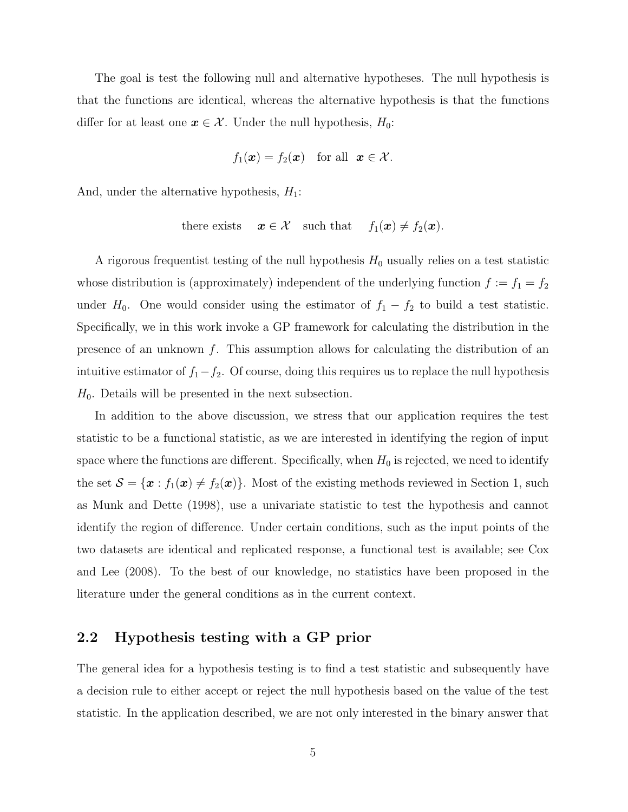The goal is test the following null and alternative hypotheses. The null hypothesis is that the functions are identical, whereas the alternative hypothesis is that the functions differ for at least one  $x \in \mathcal{X}$ . Under the null hypothesis,  $H_0$ :

$$
f_1(\boldsymbol{x}) = f_2(\boldsymbol{x})
$$
 for all  $\boldsymbol{x} \in \mathcal{X}$ .

And, under the alternative hypothesis,  $H_1$ :

there exists 
$$
x \in \mathcal{X}
$$
 such that  $f_1(x) \neq f_2(x)$ .

A rigorous frequentist testing of the null hypothesis  $H_0$  usually relies on a test statistic whose distribution is (approximately) independent of the underlying function  $f := f_1 = f_2$ under  $H_0$ . One would consider using the estimator of  $f_1 - f_2$  to build a test statistic. Specifically, we in this work invoke a GP framework for calculating the distribution in the presence of an unknown  $f$ . This assumption allows for calculating the distribution of an intuitive estimator of  $f_1-f_2$ . Of course, doing this requires us to replace the null hypothesis  $H_0$ . Details will be presented in the next subsection.

In addition to the above discussion, we stress that our application requires the test statistic to be a functional statistic, as we are interested in identifying the region of input space where the functions are different. Specifically, when  $H_0$  is rejected, we need to identify the set  $S = {\mathbf{x} : f_1(\mathbf{x}) \neq f_2(\mathbf{x})}$ . Most of the existing methods reviewed in Section 1, such as Munk and Dette (1998), use a univariate statistic to test the hypothesis and cannot identify the region of difference. Under certain conditions, such as the input points of the two datasets are identical and replicated response, a functional test is available; see Cox and Lee (2008). To the best of our knowledge, no statistics have been proposed in the literature under the general conditions as in the current context.

### 2.2 Hypothesis testing with a GP prior

The general idea for a hypothesis testing is to find a test statistic and subsequently have a decision rule to either accept or reject the null hypothesis based on the value of the test statistic. In the application described, we are not only interested in the binary answer that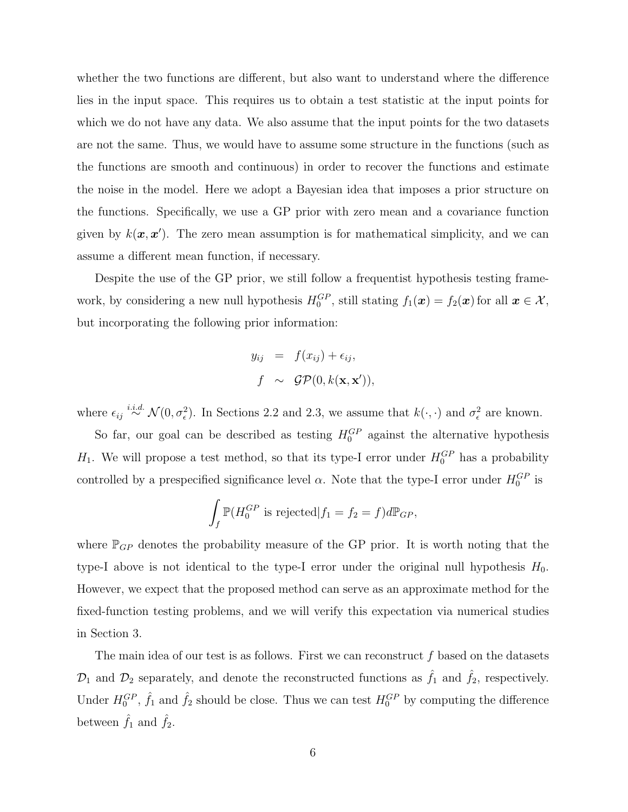whether the two functions are different, but also want to understand where the difference lies in the input space. This requires us to obtain a test statistic at the input points for which we do not have any data. We also assume that the input points for the two datasets are not the same. Thus, we would have to assume some structure in the functions (such as the functions are smooth and continuous) in order to recover the functions and estimate the noise in the model. Here we adopt a Bayesian idea that imposes a prior structure on the functions. Specifically, we use a GP prior with zero mean and a covariance function given by  $k(\mathbf{x}, \mathbf{x}')$ . The zero mean assumption is for mathematical simplicity, and we can assume a different mean function, if necessary.

Despite the use of the GP prior, we still follow a frequentist hypothesis testing framework, by considering a new null hypothesis  $H_0^{GP}$ , still stating  $f_1(\boldsymbol{x}) = f_2(\boldsymbol{x})$  for all  $\boldsymbol{x} \in \mathcal{X}$ , but incorporating the following prior information:

$$
y_{ij} = f(x_{ij}) + \epsilon_{ij},
$$
  

$$
f \sim \mathcal{GP}(0, k(\mathbf{x}, \mathbf{x}')),
$$

where  $\epsilon_{ij} \stackrel{i.i.d.}{\sim} \mathcal{N}(0, \sigma_{\epsilon}^2)$ . In Sections 2.2 and 2.3, we assume that  $k(\cdot, \cdot)$  and  $\sigma_{\epsilon}^2$  are known.

So far, our goal can be described as testing  $H_0^{GP}$  against the alternative hypothesis  $H_1$ . We will propose a test method, so that its type-I error under  $H_0^{GP}$  has a probability controlled by a prespecified significance level  $\alpha$ . Note that the type-I error under  $H_0^{GP}$  is

$$
\int_f \mathbb{P}(H_0^{GP} \text{ is rejected} | f_1 = f_2 = f)d\mathbb{P}_{GP},
$$

where  $\mathbb{P}_{GP}$  denotes the probability measure of the GP prior. It is worth noting that the type-I above is not identical to the type-I error under the original null hypothesis  $H_0$ . However, we expect that the proposed method can serve as an approximate method for the fixed-function testing problems, and we will verify this expectation via numerical studies in Section 3.

The main idea of our test is as follows. First we can reconstruct  $f$  based on the datasets  $\mathcal{D}_1$  and  $\mathcal{D}_2$  separately, and denote the reconstructed functions as  $\hat{f}_1$  and  $\hat{f}_2$ , respectively. Under  $H_0^{GP}$ ,  $\hat{f}_1$  and  $\hat{f}_2$  should be close. Thus we can test  $H_0^{GP}$  by computing the difference between  $\hat{f}_1$  and  $\hat{f}_2$ .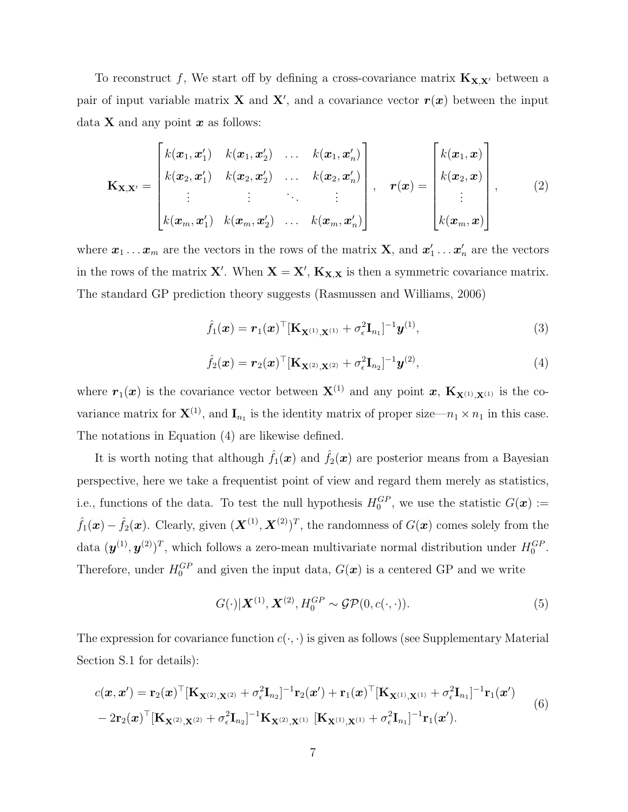To reconstruct f, We start off by defining a cross-covariance matrix  $K_{X,X'}$  between a pair of input variable matrix **X** and **X'**, and a covariance vector  $r(x)$  between the input data **X** and any point  $x$  as follows:

$$
\mathbf{K}_{\mathbf{X},\mathbf{X}'} = \begin{bmatrix} k(\boldsymbol{x}_1,\boldsymbol{x}'_1) & k(\boldsymbol{x}_1,\boldsymbol{x}'_2) & \dots & k(\boldsymbol{x}_1,\boldsymbol{x}'_n) \\ k(\boldsymbol{x}_2,\boldsymbol{x}'_1) & k(\boldsymbol{x}_2,\boldsymbol{x}'_2) & \dots & k(\boldsymbol{x}_2,\boldsymbol{x}'_n) \\ \vdots & \vdots & \ddots & \vdots \\ k(\boldsymbol{x}_m,\boldsymbol{x}'_1) & k(\boldsymbol{x}_m,\boldsymbol{x}'_2) & \dots & k(\boldsymbol{x}_m,\boldsymbol{x}'_n) \end{bmatrix}, \quad \mathbf{r}(\boldsymbol{x}) = \begin{bmatrix} k(\boldsymbol{x}_1,\boldsymbol{x}) \\ k(\boldsymbol{x}_2,\boldsymbol{x}) \\ \vdots \\ k(\boldsymbol{x}_m,\boldsymbol{x}) \end{bmatrix}, \quad (2)
$$

where  $\bm{x}_1 \dots \bm{x}_m$  are the vectors in the rows of the matrix **X**, and  $\bm{x}'_1 \dots \bm{x}'_n$  are the vectors in the rows of the matrix **X'**. When  $X = X'$ ,  $K_{X,X}$  is then a symmetric covariance matrix. The standard GP prediction theory suggests (Rasmussen and Williams, 2006)

$$
\hat{f}_1(\boldsymbol{x}) = \boldsymbol{r}_1(\boldsymbol{x})^\top [\mathbf{K}_{\mathbf{X}^{(1)},\mathbf{X}^{(1)}} + \sigma_\epsilon^2 \mathbf{I}_{n_1}]^{-1} \boldsymbol{y}^{(1)},
$$
\n(3)

$$
\hat{f}_2(\boldsymbol{x}) = \boldsymbol{r}_2(\boldsymbol{x})^\top [\mathbf{K}_{\mathbf{X}^{(2)}, \mathbf{X}^{(2)}} + \sigma_\epsilon^2 \mathbf{I}_{n_2}]^{-1} \boldsymbol{y}^{(2)},
$$
\n(4)

where  $r_1(x)$  is the covariance vector between  $X^{(1)}$  and any point x,  $K_{X^{(1)},X^{(1)}}$  is the covariance matrix for  $X^{(1)}$ , and  $I_{n_1}$  is the identity matrix of proper size— $n_1 \times n_1$  in this case. The notations in Equation (4) are likewise defined.

It is worth noting that although  $\hat{f}_1(x)$  and  $\hat{f}_2(x)$  are posterior means from a Bayesian perspective, here we take a frequentist point of view and regard them merely as statistics, i.e., functions of the data. To test the null hypothesis  $H_0^{GP}$ , we use the statistic  $G(\boldsymbol{x}) :=$  $\hat{f}_1(\bm{x}) - \hat{f}_2(\bm{x})$ . Clearly, given  $(\bm{X}^{(1)}, \bm{X}^{(2)})^T$ , the randomness of  $G(\bm{x})$  comes solely from the data  $(\mathbf{y}^{(1)}, \mathbf{y}^{(2)})^T$ , which follows a zero-mean multivariate normal distribution under  $H_0^{GP}$ . Therefore, under  $H_0^{GP}$  and given the input data,  $G(\boldsymbol{x})$  is a centered GP and we write

$$
G(\cdot)|\mathbf{X}^{(1)},\mathbf{X}^{(2)},H_0^{GP} \sim \mathcal{GP}(0,c(\cdot,\cdot)).
$$
\n(5)

The expression for covariance function  $c(\cdot, \cdot)$  is given as follows (see Supplementary Material Section S.1 for details):

$$
c(\mathbf{x}, \mathbf{x}') = \mathbf{r}_2(\mathbf{x})^\top [\mathbf{K}_{\mathbf{X}^{(2)}, \mathbf{X}^{(2)}} + \sigma_\epsilon^2 \mathbf{I}_{n_2}]^{-1} \mathbf{r}_2(\mathbf{x}') + \mathbf{r}_1(\mathbf{x})^\top [\mathbf{K}_{\mathbf{X}^{(1)}, \mathbf{X}^{(1)}} + \sigma_\epsilon^2 \mathbf{I}_{n_1}]^{-1} \mathbf{r}_1(\mathbf{x}') - 2 \mathbf{r}_2(\mathbf{x})^\top [\mathbf{K}_{\mathbf{X}^{(2)}, \mathbf{X}^{(2)}} + \sigma_\epsilon^2 \mathbf{I}_{n_2}]^{-1} \mathbf{K}_{\mathbf{X}^{(2)}, \mathbf{X}^{(1)}} [\mathbf{K}_{\mathbf{X}^{(1)}, \mathbf{X}^{(1)}} + \sigma_\epsilon^2 \mathbf{I}_{n_1}]^{-1} \mathbf{r}_1(\mathbf{x}').
$$
\n(6)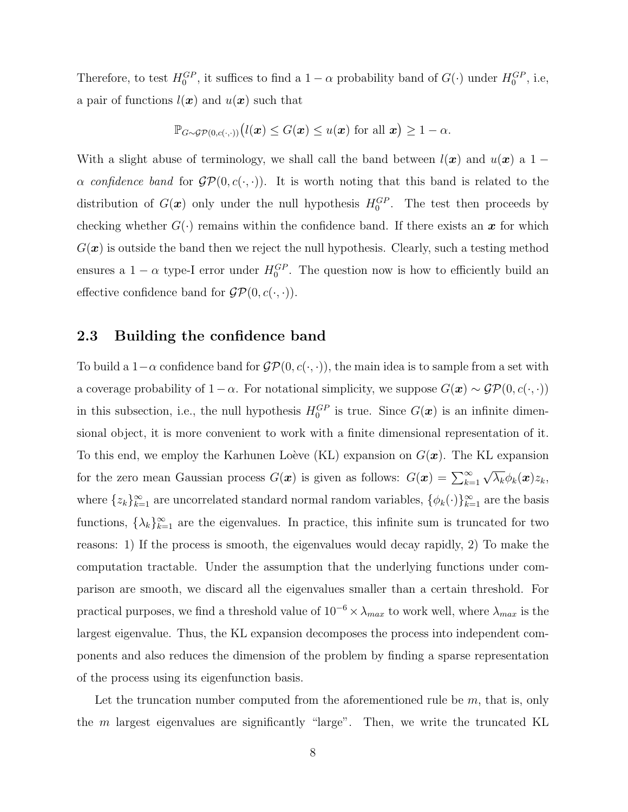Therefore, to test  $H_0^{GP}$ , it suffices to find a  $1-\alpha$  probability band of  $G(\cdot)$  under  $H_0^{GP}$ , i.e, a pair of functions  $l(\boldsymbol{x})$  and  $u(\boldsymbol{x})$  such that

$$
\mathbb{P}_{G \sim \mathcal{GP}(0, c(\cdot, \cdot))}(l(\boldsymbol{x}) \leq G(\boldsymbol{x}) \leq u(\boldsymbol{x}) \text{ for all } \boldsymbol{x}) \geq 1 - \alpha.
$$

With a slight abuse of terminology, we shall call the band between  $l(x)$  and  $u(x)$  a 1 −  $\alpha$  confidence band for  $\mathcal{GP}(0, c(\cdot, \cdot))$ . It is worth noting that this band is related to the distribution of  $G(x)$  only under the null hypothesis  $H_0^{GP}$ . The test then proceeds by checking whether  $G(\cdot)$  remains within the confidence band. If there exists an x for which  $G(\boldsymbol{x})$  is outside the band then we reject the null hypothesis. Clearly, such a testing method ensures a  $1 - \alpha$  type-I error under  $H_0^{GP}$ . The question now is how to efficiently build an effective confidence band for  $\mathcal{GP}(0, c(\cdot, \cdot)).$ 

### 2.3 Building the confidence band

To build a 1– $\alpha$  confidence band for  $\mathcal{GP}(0, c(\cdot, \cdot))$ , the main idea is to sample from a set with a coverage probability of  $1 - \alpha$ . For notational simplicity, we suppose  $G(\mathbf{x}) \sim \mathcal{GP}(0, c(\cdot, \cdot))$ in this subsection, i.e., the null hypothesis  $H_0^{GP}$  is true. Since  $G(\mathbf{x})$  is an infinite dimensional object, it is more convenient to work with a finite dimensional representation of it. To this end, we employ the Karhunen Loève (KL) expansion on  $G(\boldsymbol{x})$ . The KL expansion for the zero mean Gaussian process  $G(\boldsymbol{x})$  is given as follows:  $G(\boldsymbol{x}) = \sum_{k=1}^{\infty}$ √  $\overline{\lambda_k} \phi_k(\boldsymbol{x}) z_k,$ where  $\{z_k\}_{k=1}^{\infty}$  are uncorrelated standard normal random variables,  $\{\phi_k(\cdot)\}_{k=1}^{\infty}$  are the basis functions,  $\{\lambda_k\}_{k=1}^{\infty}$  are the eigenvalues. In practice, this infinite sum is truncated for two reasons: 1) If the process is smooth, the eigenvalues would decay rapidly, 2) To make the computation tractable. Under the assumption that the underlying functions under comparison are smooth, we discard all the eigenvalues smaller than a certain threshold. For practical purposes, we find a threshold value of  $10^{-6} \times \lambda_{max}$  to work well, where  $\lambda_{max}$  is the largest eigenvalue. Thus, the KL expansion decomposes the process into independent components and also reduces the dimension of the problem by finding a sparse representation of the process using its eigenfunction basis.

Let the truncation number computed from the aforementioned rule be  $m$ , that is, only the  $m$  largest eigenvalues are significantly "large". Then, we write the truncated KL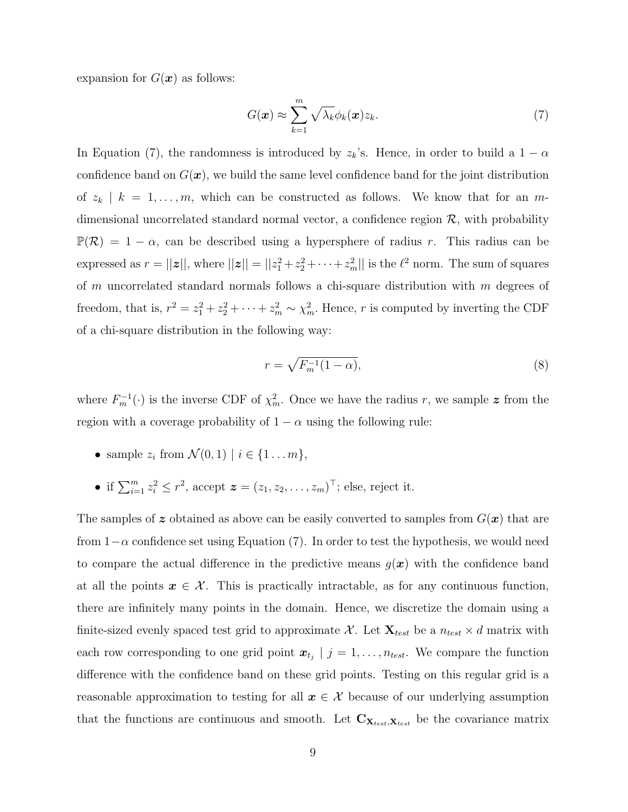expansion for  $G(\boldsymbol{x})$  as follows:

$$
G(\boldsymbol{x}) \approx \sum_{k=1}^{m} \sqrt{\lambda_k} \phi_k(\boldsymbol{x}) z_k.
$$
 (7)

In Equation (7), the randomness is introduced by  $z_k$ 's. Hence, in order to build a  $1 - \alpha$ confidence band on  $G(\mathbf{x})$ , we build the same level confidence band for the joint distribution of  $z_k | k = 1, ..., m$ , which can be constructed as follows. We know that for an mdimensional uncorrelated standard normal vector, a confidence region  $\mathcal{R}$ , with probability  $\mathbb{P}(\mathcal{R}) = 1 - \alpha$ , can be described using a hypersphere of radius r. This radius can be expressed as  $r = ||\boldsymbol{z}||$ , where  $||\boldsymbol{z}|| = ||z_1^2 + z_2^2 + \cdots + z_m^2||$  is the  $\ell^2$  norm. The sum of squares of m uncorrelated standard normals follows a chi-square distribution with  $m$  degrees of freedom, that is,  $r^2 = z_1^2 + z_2^2 + \cdots + z_m^2 \sim \chi_m^2$ . Hence, r is computed by inverting the CDF of a chi-square distribution in the following way:

$$
r = \sqrt{F_m^{-1}(1-\alpha)},\tag{8}
$$

where  $F_m^{-1}(\cdot)$  is the inverse CDF of  $\chi^2_m$ . Once we have the radius r, we sample z from the region with a coverage probability of  $1 - \alpha$  using the following rule:

- sample  $z_i$  from  $\mathcal{N}(0,1) \mid i \in \{1 \dots m\},\$
- if  $\sum_{i=1}^{m} z_i^2 \le r^2$ , accept  $\boldsymbol{z} = (z_1, z_2, \dots, z_m)^\top$ ; else, reject it.

The samples of z obtained as above can be easily converted to samples from  $G(\mathbf{x})$  that are from  $1-\alpha$  confidence set using Equation (7). In order to test the hypothesis, we would need to compare the actual difference in the predictive means  $g(x)$  with the confidence band at all the points  $x \in \mathcal{X}$ . This is practically intractable, as for any continuous function, there are infinitely many points in the domain. Hence, we discretize the domain using a finite-sized evenly spaced test grid to approximate X. Let  $\mathbf{X}_{test}$  be a  $n_{test} \times d$  matrix with each row corresponding to one grid point  $\mathbf{x}_{t_j}$  |  $j = 1, \ldots, n_{test}$ . We compare the function difference with the confidence band on these grid points. Testing on this regular grid is a reasonable approximation to testing for all  $x \in \mathcal{X}$  because of our underlying assumption that the functions are continuous and smooth. Let  $C_{\mathbf{X}_{test},\mathbf{X}_{test}}$  be the covariance matrix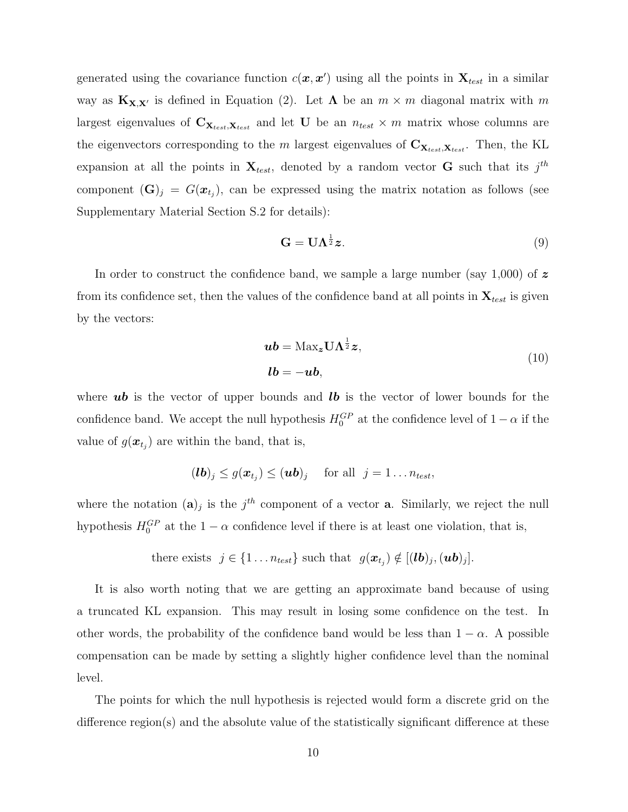generated using the covariance function  $c(\mathbf{x}, \mathbf{x}')$  using all the points in  $\mathbf{X}_{test}$  in a similar way as  $\mathbf{K}_{\mathbf{X},\mathbf{X}'}$  is defined in Equation (2). Let  $\Lambda$  be an  $m \times m$  diagonal matrix with m largest eigenvalues of  $C_{\mathbf{X}_{test},\mathbf{X}_{test}}$  and let U be an  $n_{test} \times m$  matrix whose columns are the eigenvectors corresponding to the m largest eigenvalues of  $C_{\mathbf{X}_{test},\mathbf{X}_{test}}$ . Then, the KL expansion at all the points in  $\mathbf{X}_{test}$ , denoted by a random vector **G** such that its  $j^{th}$ component  $(\mathbf{G})_j = G(\boldsymbol{x}_{t_j})$ , can be expressed using the matrix notation as follows (see Supplementary Material Section S.2 for details):

$$
\mathbf{G} = \mathbf{U}\Lambda^{\frac{1}{2}}\boldsymbol{z}.\tag{9}
$$

In order to construct the confidence band, we sample a large number (say 1,000) of  $\boldsymbol{z}$ from its confidence set, then the values of the confidence band at all points in  $\mathbf{X}_{test}$  is given by the vectors:

$$
\mathbf{u}\mathbf{b} = \text{Max}_{\mathbf{z}} \mathbf{U} \mathbf{\Lambda}^{\frac{1}{2}} \mathbf{z},
$$
  

$$
\mathbf{l}\mathbf{b} = -\mathbf{u}\mathbf{b},
$$
 (10)

where  $\boldsymbol{u}\boldsymbol{b}$  is the vector of upper bounds and  $\boldsymbol{lb}$  is the vector of lower bounds for the confidence band. We accept the null hypothesis  $H_0^{GP}$  at the confidence level of  $1 - \alpha$  if the value of  $g(\boldsymbol{x}_{t_j})$  are within the band, that is,

$$
(\boldsymbol{lb})_j \leq g(\boldsymbol{x}_{t_j}) \leq (\boldsymbol{ub})_j \quad \text{ for all } j=1 \ldots n_{test},
$$

where the notation  $(a)_j$  is the  $j<sup>th</sup>$  component of a vector **a**. Similarly, we reject the null hypothesis  $H_0^{GP}$  at the  $1 - \alpha$  confidence level if there is at least one violation, that is,

there exists 
$$
j \in \{1 \ldots n_{test}\}\
$$
 such that  $g(\boldsymbol{x}_{t_j}) \notin [(lb)_j, (\boldsymbol{u}\boldsymbol{b})_j].$ 

It is also worth noting that we are getting an approximate band because of using a truncated KL expansion. This may result in losing some confidence on the test. In other words, the probability of the confidence band would be less than  $1 - \alpha$ . A possible compensation can be made by setting a slightly higher confidence level than the nominal level.

The points for which the null hypothesis is rejected would form a discrete grid on the difference region(s) and the absolute value of the statistically significant difference at these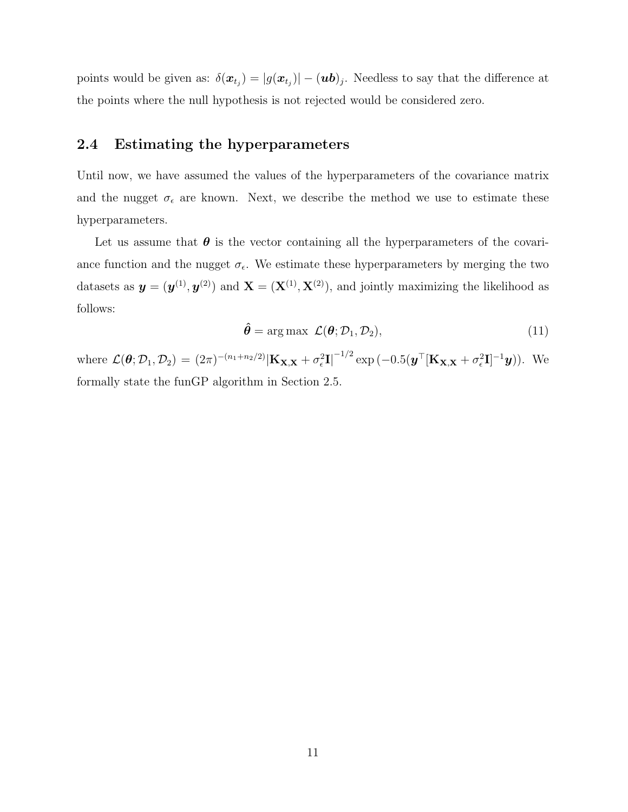points would be given as:  $\delta(\bm{x}_{t_j}) = |g(\bm{x}_{t_j})| - (\bm{u}\bm{b})_j$ . Needless to say that the difference at the points where the null hypothesis is not rejected would be considered zero.

### 2.4 Estimating the hyperparameters

Until now, we have assumed the values of the hyperparameters of the covariance matrix and the nugget  $\sigma_{\epsilon}$  are known. Next, we describe the method we use to estimate these hyperparameters.

Let us assume that  $\theta$  is the vector containing all the hyperparameters of the covariance function and the nugget  $\sigma_{\epsilon}$ . We estimate these hyperparameters by merging the two datasets as  $y = (y^{(1)}, y^{(2)})$  and  $X = (X^{(1)}, X^{(2)})$ , and jointly maximizing the likelihood as follows:

$$
\hat{\theta} = \arg \max \mathcal{L}(\theta; \mathcal{D}_1, \mathcal{D}_2), \tag{11}
$$

where  $\mathcal{L}(\theta; \mathcal{D}_1, \mathcal{D}_2) = (2\pi)^{-(n_1+n_2/2)} |\mathbf{K}_{\mathbf{X}, \mathbf{X}} + \sigma_\epsilon^2 \mathbf{I}|^{-1/2} \exp(-0.5(\boldsymbol{y}^\top [\mathbf{K}_{\mathbf{X}, \mathbf{X}} + \sigma_\epsilon^2 \mathbf{I}]^{-1} \boldsymbol{y}))$ . We formally state the funGP algorithm in Section 2.5.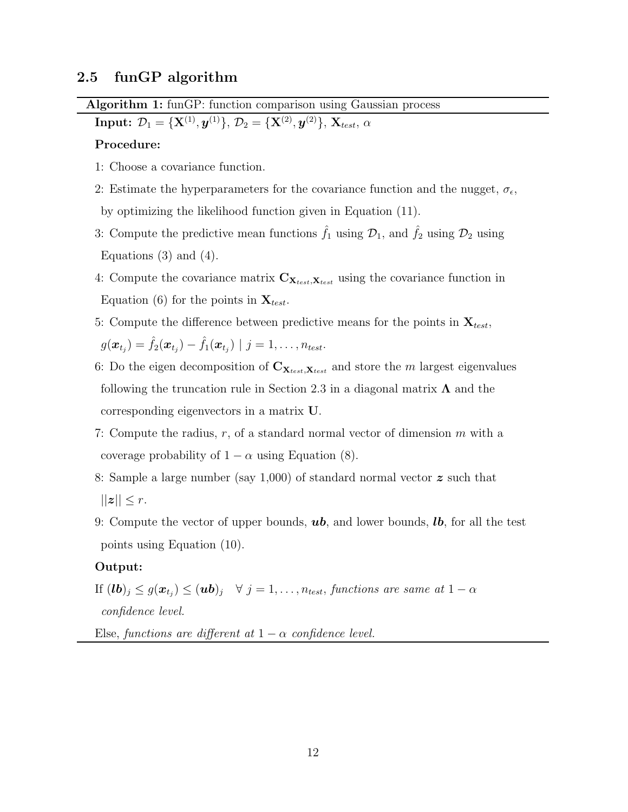### 2.5 funGP algorithm

Algorithm 1: funGP: function comparison using Gaussian process

 $\text{Input:} \; \mathcal{D}_1 = \{\textbf{X}^{(1)}, \boldsymbol{y}^{(1)}\}, \, \mathcal{D}_2 = \{\textbf{X}^{(2)}, \boldsymbol{y}^{(2)}\}, \, \textbf{X}_{test}, \, \alpha$ 

#### Procedure:

- 1: Choose a covariance function.
- 2: Estimate the hyperparameters for the covariance function and the nugget,  $\sigma_{\epsilon}$ , by optimizing the likelihood function given in Equation (11).
- 3: Compute the predictive mean functions  $\hat{f}_1$  using  $\mathcal{D}_1$ , and  $\hat{f}_2$  using  $\mathcal{D}_2$  using Equations  $(3)$  and  $(4)$ .
- 4: Compute the covariance matrix  $C_{\mathbf{X}_{test},\mathbf{X}_{test}}$  using the covariance function in Equation (6) for the points in  $\mathbf{X}_{test}$ .
- 5: Compute the difference between predictive means for the points in  $\mathbf{X}_{test}$ ,  $g(\boldsymbol{x}_{t_j}) = \hat{f}_2(\boldsymbol{x}_{t_j}) - \hat{f}_1(\boldsymbol{x}_{t_j}) \mid j = 1, \dots, n_{test}.$
- 6: Do the eigen decomposition of  $C_{\mathbf{X}_{test}, \mathbf{X}_{test}}$  and store the m largest eigenvalues following the truncation rule in Section 2.3 in a diagonal matrix  $\Lambda$  and the corresponding eigenvectors in a matrix U.
- 7: Compute the radius,  $r$ , of a standard normal vector of dimension  $m$  with a coverage probability of  $1 - \alpha$  using Equation (8).
- 8: Sample a large number (say 1,000) of standard normal vector  $\boldsymbol{z}$  such that  $||z|| \leq r$ .
- 9: Compute the vector of upper bounds,  $\boldsymbol{u}\boldsymbol{b}$ , and lower bounds,  $\boldsymbol{b}$ , for all the test points using Equation (10).

#### Output:

If  $(\bm{lb})_j \leq g(\bm{x}_{t_j}) \leq (\bm{ub})_j \quad \forall \; j = 1, \dots, n_{test},$  functions are same at  $1 - \alpha$ confidence level.

Else, functions are different at  $1 - \alpha$  confidence level.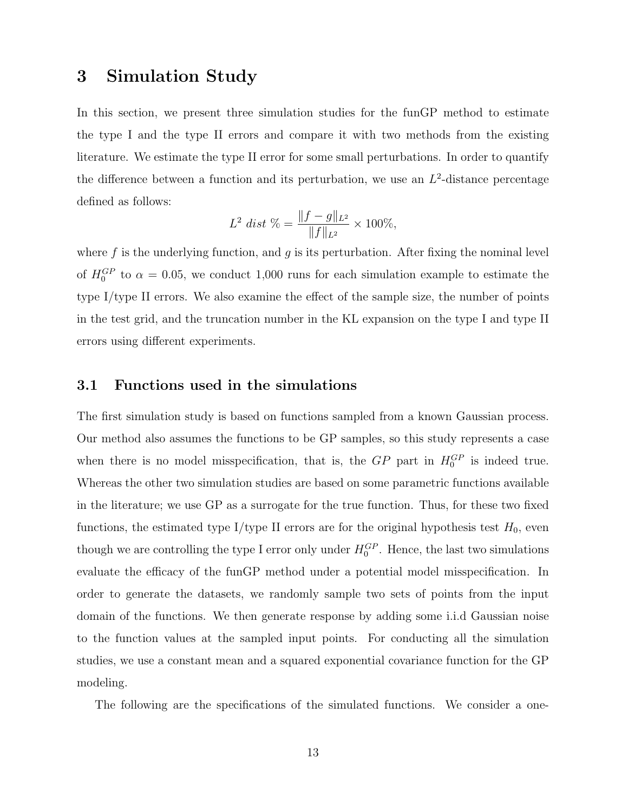### 3 Simulation Study

In this section, we present three simulation studies for the funGP method to estimate the type I and the type II errors and compare it with two methods from the existing literature. We estimate the type II error for some small perturbations. In order to quantify the difference between a function and its perturbation, we use an  $L^2$ -distance percentage defined as follows:

$$
L^2 \text{ dist } \% = \frac{\|f - g\|_{L^2}}{\|f\|_{L^2}} \times 100\%,
$$

where  $f$  is the underlying function, and  $g$  is its perturbation. After fixing the nominal level of  $H_0^{GP}$  to  $\alpha = 0.05$ , we conduct 1,000 runs for each simulation example to estimate the type I/type II errors. We also examine the effect of the sample size, the number of points in the test grid, and the truncation number in the KL expansion on the type I and type II errors using different experiments.

### 3.1 Functions used in the simulations

The first simulation study is based on functions sampled from a known Gaussian process. Our method also assumes the functions to be GP samples, so this study represents a case when there is no model misspecification, that is, the  $GP$  part in  $H_0^{GP}$  is indeed true. Whereas the other two simulation studies are based on some parametric functions available in the literature; we use GP as a surrogate for the true function. Thus, for these two fixed functions, the estimated type I/type II errors are for the original hypothesis test  $H_0$ , even though we are controlling the type I error only under  $H_0^{GP}$ . Hence, the last two simulations evaluate the efficacy of the funGP method under a potential model misspecification. In order to generate the datasets, we randomly sample two sets of points from the input domain of the functions. We then generate response by adding some i.i.d Gaussian noise to the function values at the sampled input points. For conducting all the simulation studies, we use a constant mean and a squared exponential covariance function for the GP modeling.

The following are the specifications of the simulated functions. We consider a one-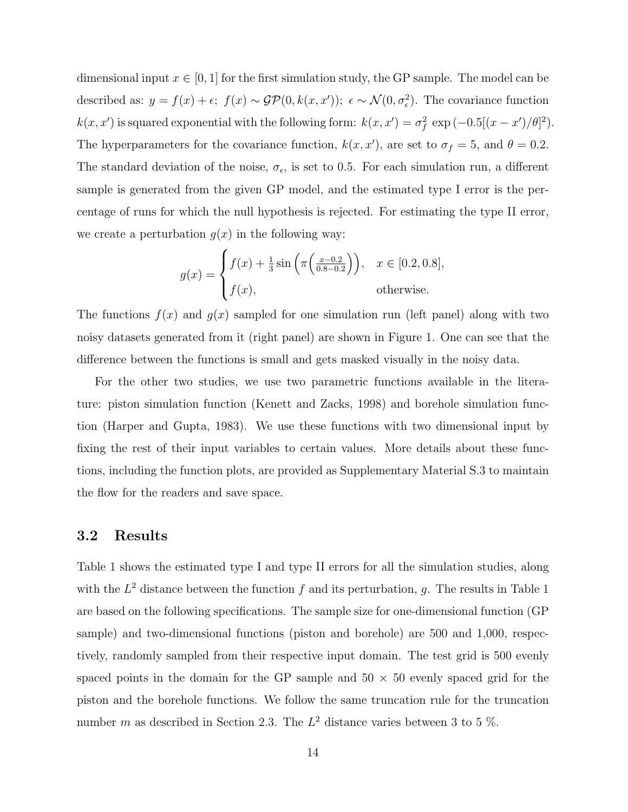dimensional input  $x \in [0, 1]$  for the first simulation study, the GP sample. The model can be described as:  $y = f(x) + \epsilon$ ;  $f(x) \sim \mathcal{GP}(0, k(x, x'))$ ;  $\epsilon \sim \mathcal{N}(0, \sigma_{\epsilon}^2)$ . The covariance function  $k(x, x')$  is squared exponential with the following form:  $k(x, x') = \sigma_f^2 \exp(-0.5[(x - x')/\theta]^2)$ . The hyperparameters for the covariance function,  $k(x, x')$ , are set to  $\sigma_f = 5$ , and  $\theta = 0.2$ . The standard deviation of the noise,  $\sigma_{\epsilon}$ , is set to 0.5. For each simulation run, a different sample is generated from the given GP model, and the estimated type I error is the percentage of runs for which the null hypothesis is rejected. For estimating the type II error, we create a perturbation  $g(x)$  in the following way:

$$
g(x) = \begin{cases} f(x) + \frac{1}{3}\sin\left(\pi\left(\frac{x-0.2}{0.8-0.2}\right)\right), & x \in [0.2, 0.8], \\ f(x), & \text{otherwise.} \end{cases}
$$

The functions  $f(x)$  and  $g(x)$  sampled for one simulation run (left panel) along with two noisy datasets generated from it (right panel) are shown in Figure 1. One can see that the difference between the functions is small and gets masked visually in the noisy data.

For the other two studies, we use two parametric functions available in the literature: piston simulation function (Kenett and Zacks, 1998) and borehole simulation function (Harper and Gupta, 1983). We use these functions with two dimensional input by fixing the rest of their input variables to certain values. More details about these functions, including the function plots, are provided as Supplementary Material S.3 to maintain the flow for the readers and save space.

#### 3.2 Results

Table 1 shows the estimated type I and type II errors for all the simulation studies, along with the  $L^2$  distance between the function f and its perturbation, g. The results in Table 1 are based on the following specifications. The sample size for one-dimensional function (GP sample) and two-dimensional functions (piston and borehole) are 500 and 1,000, respectively, randomly sampled from their respective input domain. The test grid is 500 evenly spaced points in the domain for the GP sample and  $50 \times 50$  evenly spaced grid for the piston and the borehole functions. We follow the same truncation rule for the truncation number m as described in Section 2.3. The  $L^2$  distance varies between 3 to 5 %.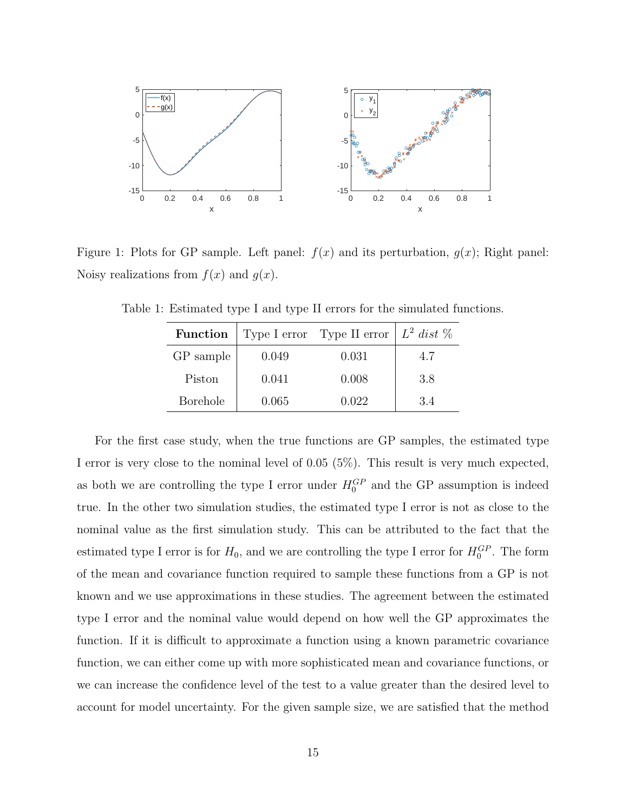

Figure 1: Plots for GP sample. Left panel:  $f(x)$  and its perturbation,  $g(x)$ ; Right panel: Noisy realizations from  $f(x)$  and  $g(x)$ .

| Function        |       | Type I error Type II error $\mid L^2 \text{ dist } \%$ |     |
|-----------------|-------|--------------------------------------------------------|-----|
| GP sample       | 0.049 | 0.031                                                  | 4.7 |
| Piston          | 0.041 | 0.008                                                  | 3.8 |
| <b>Borehole</b> | 0.065 | 0.022                                                  | 3.4 |

Table 1: Estimated type I and type II errors for the simulated functions.

For the first case study, when the true functions are GP samples, the estimated type I error is very close to the nominal level of 0.05 (5%). This result is very much expected, as both we are controlling the type I error under  $H_0^{GP}$  and the GP assumption is indeed true. In the other two simulation studies, the estimated type I error is not as close to the nominal value as the first simulation study. This can be attributed to the fact that the estimated type I error is for  $H_0$ , and we are controlling the type I error for  $H_0^{GP}$ . The form of the mean and covariance function required to sample these functions from a GP is not known and we use approximations in these studies. The agreement between the estimated type I error and the nominal value would depend on how well the GP approximates the function. If it is difficult to approximate a function using a known parametric covariance function, we can either come up with more sophisticated mean and covariance functions, or we can increase the confidence level of the test to a value greater than the desired level to account for model uncertainty. For the given sample size, we are satisfied that the method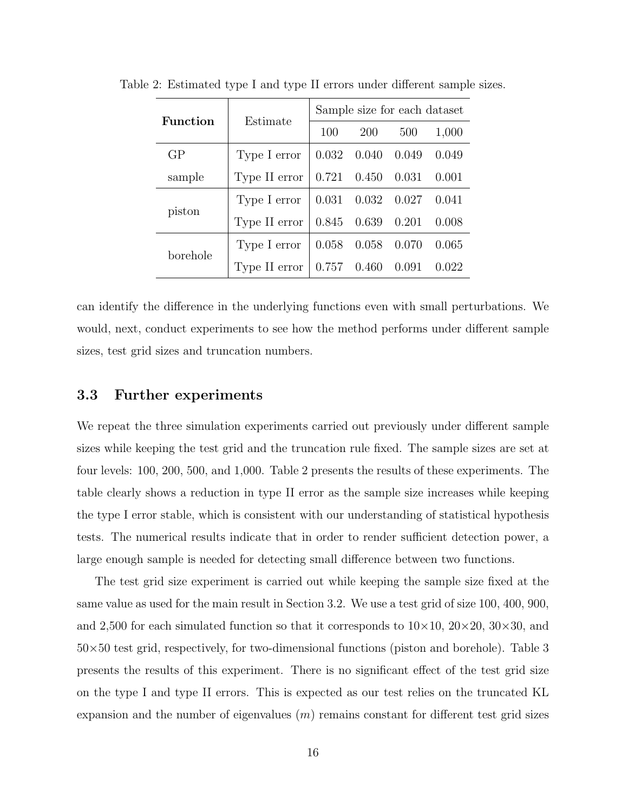| <b>Function</b> | Estimate      | Sample size for each dataset |                         |                         |       |
|-----------------|---------------|------------------------------|-------------------------|-------------------------|-------|
|                 |               | 100                          | <b>200</b>              | 500                     | 1,000 |
| GP              | Type I error  | 0.032                        | 0.040                   | 0.049                   | 0.049 |
| sample          | Type II error |                              | $0.721$ $0.450$ $0.031$ |                         | 0.001 |
| piston          | Type I error  |                              |                         | $0.031$ $0.032$ $0.027$ | 0.041 |
|                 | Type II error |                              | $0.845$ $0.639$ $0.201$ |                         | 0.008 |
| borehole        | Type I error  |                              | $0.058$ 0.058 0.070     |                         | 0.065 |
|                 | Type II error |                              | 0.757 0.460             | 0.091                   | 0.022 |

Table 2: Estimated type I and type II errors under different sample sizes.

can identify the difference in the underlying functions even with small perturbations. We would, next, conduct experiments to see how the method performs under different sample sizes, test grid sizes and truncation numbers.

#### 3.3 Further experiments

We repeat the three simulation experiments carried out previously under different sample sizes while keeping the test grid and the truncation rule fixed. The sample sizes are set at four levels: 100, 200, 500, and 1,000. Table 2 presents the results of these experiments. The table clearly shows a reduction in type II error as the sample size increases while keeping the type I error stable, which is consistent with our understanding of statistical hypothesis tests. The numerical results indicate that in order to render sufficient detection power, a large enough sample is needed for detecting small difference between two functions.

The test grid size experiment is carried out while keeping the sample size fixed at the same value as used for the main result in Section 3.2. We use a test grid of size 100, 400, 900, and 2,500 for each simulated function so that it corresponds to  $10\times10$ ,  $20\times20$ ,  $30\times30$ , and  $50\times50$  test grid, respectively, for two-dimensional functions (piston and borehole). Table 3 presents the results of this experiment. There is no significant effect of the test grid size on the type I and type II errors. This is expected as our test relies on the truncated KL expansion and the number of eigenvalues  $(m)$  remains constant for different test grid sizes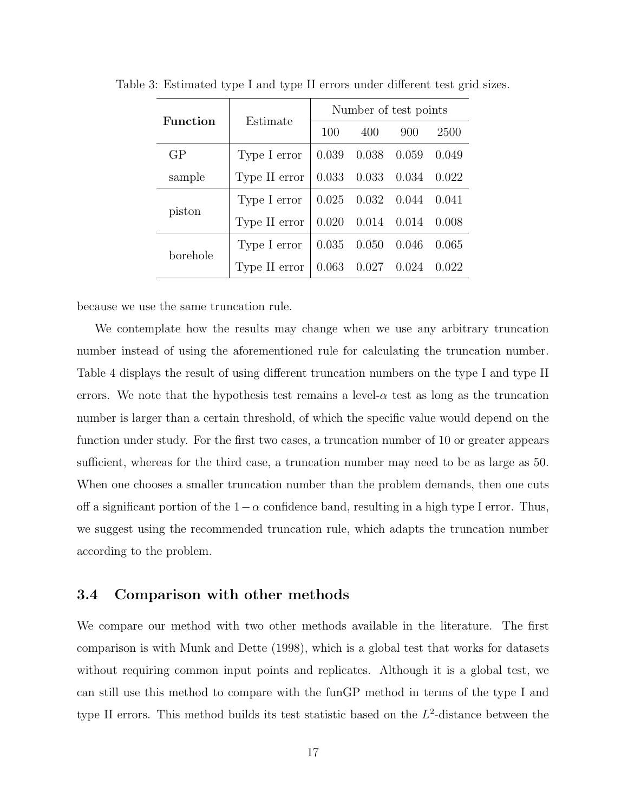| <b>Function</b> | Estimate      | Number of test points |                         |     |        |
|-----------------|---------------|-----------------------|-------------------------|-----|--------|
|                 |               | 100                   | 400                     | 900 | 2500   |
| GP              | Type I error  |                       | $0.039$ $0.038$ $0.059$ |     | 0.049  |
| sample          | Type II error |                       | 0.033 0.033 0.034       |     | 0.022  |
| piston          | Type I error  |                       | $0.025$ $0.032$ $0.044$ |     | 0.041  |
|                 | Type II error |                       | $0.020$ $0.014$ $0.014$ |     | -0.008 |
| borehole        | Type I error  |                       | $0.035$ $0.050$ $0.046$ |     | 0.065  |
|                 | Type II error |                       | $0.063$ $0.027$ $0.024$ |     | 0.022  |

Table 3: Estimated type I and type II errors under different test grid sizes.

because we use the same truncation rule.

We contemplate how the results may change when we use any arbitrary truncation number instead of using the aforementioned rule for calculating the truncation number. Table 4 displays the result of using different truncation numbers on the type I and type II errors. We note that the hypothesis test remains a level- $\alpha$  test as long as the truncation number is larger than a certain threshold, of which the specific value would depend on the function under study. For the first two cases, a truncation number of 10 or greater appears sufficient, whereas for the third case, a truncation number may need to be as large as 50. When one chooses a smaller truncation number than the problem demands, then one cuts off a significant portion of the  $1-\alpha$  confidence band, resulting in a high type I error. Thus, we suggest using the recommended truncation rule, which adapts the truncation number according to the problem.

#### 3.4 Comparison with other methods

We compare our method with two other methods available in the literature. The first comparison is with Munk and Dette (1998), which is a global test that works for datasets without requiring common input points and replicates. Although it is a global test, we can still use this method to compare with the funGP method in terms of the type I and type II errors. This method builds its test statistic based on the  $L^2$ -distance between the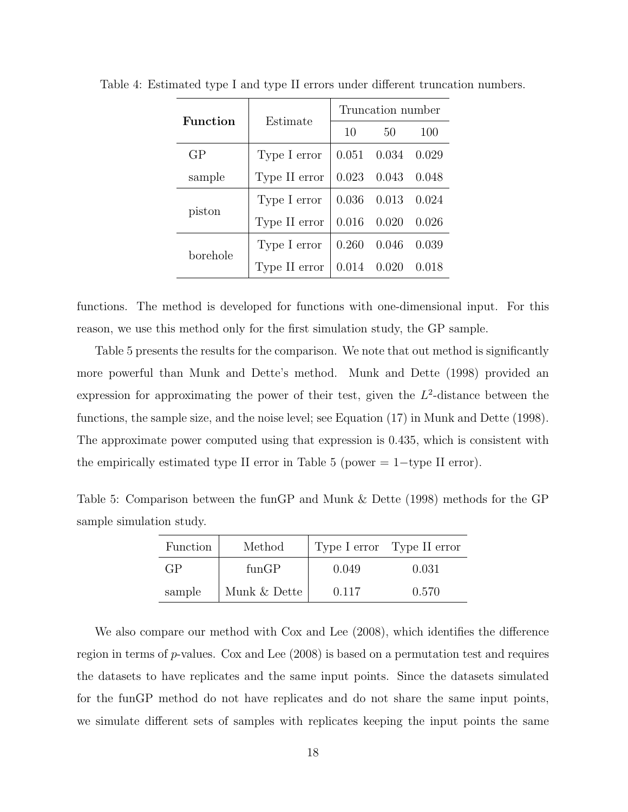| <b>Function</b> | Estimate      | Truncation number |                         |       |  |
|-----------------|---------------|-------------------|-------------------------|-------|--|
|                 |               | 10                | 50                      | 100   |  |
| GP              | Type I error  |                   | $0.051$ $0.034$ $0.029$ |       |  |
| sample          | Type II error |                   | 0.023 0.043 0.048       |       |  |
| piston          | Type I error  |                   | 0.036 0.013 0.024       |       |  |
|                 | Type II error |                   | $0.016$ 0.020           | 0.026 |  |
| borehole        | Type I error  |                   | $0.260$ $0.046$ $0.039$ |       |  |
|                 | Type II error |                   | $0.014$ 0.020           | 0.018 |  |

Table 4: Estimated type I and type II errors under different truncation numbers.

functions. The method is developed for functions with one-dimensional input. For this reason, we use this method only for the first simulation study, the GP sample.

Table 5 presents the results for the comparison. We note that out method is significantly more powerful than Munk and Dette's method. Munk and Dette (1998) provided an expression for approximating the power of their test, given the  $L^2$ -distance between the functions, the sample size, and the noise level; see Equation (17) in Munk and Dette (1998). The approximate power computed using that expression is 0.435, which is consistent with the empirically estimated type II error in Table 5 (power  $= 1$  -type II error).

Table 5: Comparison between the funGP and Munk & Dette (1998) methods for the GP sample simulation study.

| Function | Method       |       | Type I error Type II error |
|----------|--------------|-------|----------------------------|
| GP       | funGP        | 0.049 | 0.031                      |
| sample   | Munk & Dette | 0.117 | 0.570                      |

We also compare our method with Cox and Lee (2008), which identifies the difference region in terms of  $p$ -values. Cox and Lee  $(2008)$  is based on a permutation test and requires the datasets to have replicates and the same input points. Since the datasets simulated for the funGP method do not have replicates and do not share the same input points, we simulate different sets of samples with replicates keeping the input points the same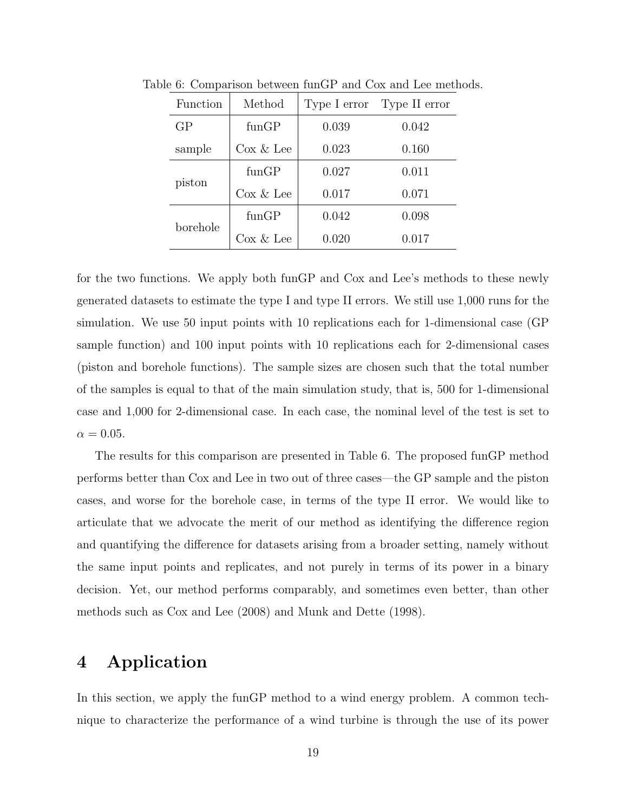| Function | Method        | Type I error | Type II error |  |
|----------|---------------|--------------|---------------|--|
| GP       | funGP         | 0.039        | 0.042         |  |
| sample   | $\cos \&$ Lee | 0.023        | 0.160         |  |
| piston   | funGP         | 0.027        | 0.011         |  |
|          | $\cos \&$ Lee | 0.017        | 0.071         |  |
| borehole | funGP         | 0.042        | 0.098         |  |
|          | $\cos \&$ Lee | 0.020        | 0.017         |  |

Table 6: Comparison between funGP and Cox and Lee methods.

for the two functions. We apply both funGP and Cox and Lee's methods to these newly generated datasets to estimate the type I and type II errors. We still use 1,000 runs for the simulation. We use 50 input points with 10 replications each for 1-dimensional case (GP sample function) and 100 input points with 10 replications each for 2-dimensional cases (piston and borehole functions). The sample sizes are chosen such that the total number of the samples is equal to that of the main simulation study, that is, 500 for 1-dimensional case and 1,000 for 2-dimensional case. In each case, the nominal level of the test is set to  $\alpha = 0.05$ .

The results for this comparison are presented in Table 6. The proposed funGP method

performs better than Cox and Lee in two out of three cases—the GP sample and the piston

cases, and worse for the borehole case, in terms of the type II error. We would like to

articulate that we advocate the merit of our method as identifying the difference region

and quantifying the difference for datasets arising from a broader setting, namely without

the same input points and replicates, and not purely in terms of its power in a binary

decision. Yet, our method performs comparably, and sometimes even better, than other

methods such as Cox and Lee (2008) and Munk and Dette (1998).

4 Application

In this section, we apply the funGP method to a wind energy problem. A common technique to characterize the performance of a wind turbine is through the use of its power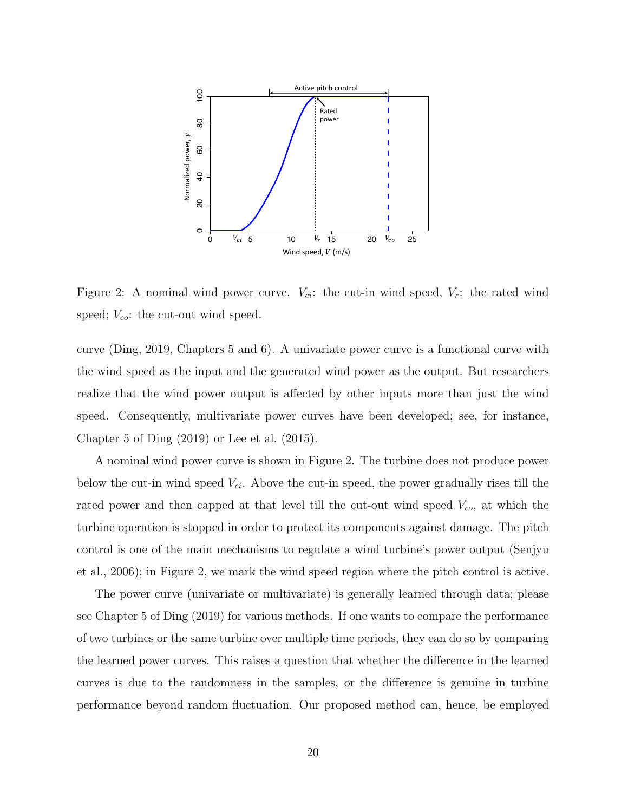

Figure 2: A nominal wind power curve.  $V_{ci}$ : the cut-in wind speed,  $V_r$ : the rated wind speed;  $V_{co}$ : the cut-out wind speed.

curve (Ding, 2019, Chapters 5 and 6). A univariate power curve is a functional curve with the wind speed as the input and the generated wind power as the output. But researchers realize that the wind power output is affected by other inputs more than just the wind speed. Consequently, multivariate power curves have been developed; see, for instance, Chapter 5 of Ding (2019) or Lee et al. (2015).

A nominal wind power curve is shown in Figure 2. The turbine does not produce power below the cut-in wind speed  $V_{ci}$ . Above the cut-in speed, the power gradually rises till the rated power and then capped at that level till the cut-out wind speed  $V_{co}$ , at which the turbine operation is stopped in order to protect its components against damage. The pitch control is one of the main mechanisms to regulate a wind turbine's power output (Senjyu et al., 2006); in Figure 2, we mark the wind speed region where the pitch control is active.

The power curve (univariate or multivariate) is generally learned through data; please see Chapter 5 of Ding (2019) for various methods. If one wants to compare the performance of two turbines or the same turbine over multiple time periods, they can do so by comparing the learned power curves. This raises a question that whether the difference in the learned curves is due to the randomness in the samples, or the difference is genuine in turbine performance beyond random fluctuation. Our proposed method can, hence, be employed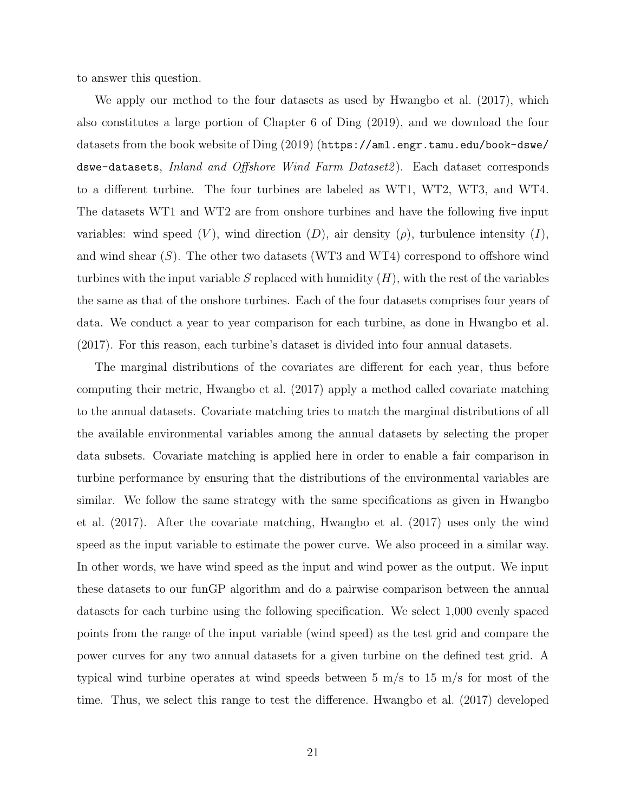to answer this question.

We apply our method to the four datasets as used by Hwangbo et al. (2017), which also constitutes a large portion of Chapter 6 of Ding (2019), and we download the four datasets from the book website of Ding (2019) (https://aml.engr.tamu.edu/book-dswe/ dswe-datasets, Inland and Offshore Wind Farm Dataset2). Each dataset corresponds to a different turbine. The four turbines are labeled as WT1, WT2, WT3, and WT4. The datasets WT1 and WT2 are from onshore turbines and have the following five input variables: wind speed  $(V)$ , wind direction  $(D)$ , air density  $(\rho)$ , turbulence intensity  $(I)$ , and wind shear  $(S)$ . The other two datasets (WT3 and WT4) correspond to offshore wind turbines with the input variable S replaced with humidity  $(H)$ , with the rest of the variables the same as that of the onshore turbines. Each of the four datasets comprises four years of data. We conduct a year to year comparison for each turbine, as done in Hwangbo et al. (2017). For this reason, each turbine's dataset is divided into four annual datasets.

The marginal distributions of the covariates are different for each year, thus before computing their metric, Hwangbo et al. (2017) apply a method called covariate matching to the annual datasets. Covariate matching tries to match the marginal distributions of all the available environmental variables among the annual datasets by selecting the proper data subsets. Covariate matching is applied here in order to enable a fair comparison in turbine performance by ensuring that the distributions of the environmental variables are similar. We follow the same strategy with the same specifications as given in Hwangbo et al. (2017). After the covariate matching, Hwangbo et al. (2017) uses only the wind speed as the input variable to estimate the power curve. We also proceed in a similar way. In other words, we have wind speed as the input and wind power as the output. We input these datasets to our funGP algorithm and do a pairwise comparison between the annual datasets for each turbine using the following specification. We select 1,000 evenly spaced points from the range of the input variable (wind speed) as the test grid and compare the power curves for any two annual datasets for a given turbine on the defined test grid. A typical wind turbine operates at wind speeds between 5 m/s to 15 m/s for most of the time. Thus, we select this range to test the difference. Hwangbo et al. (2017) developed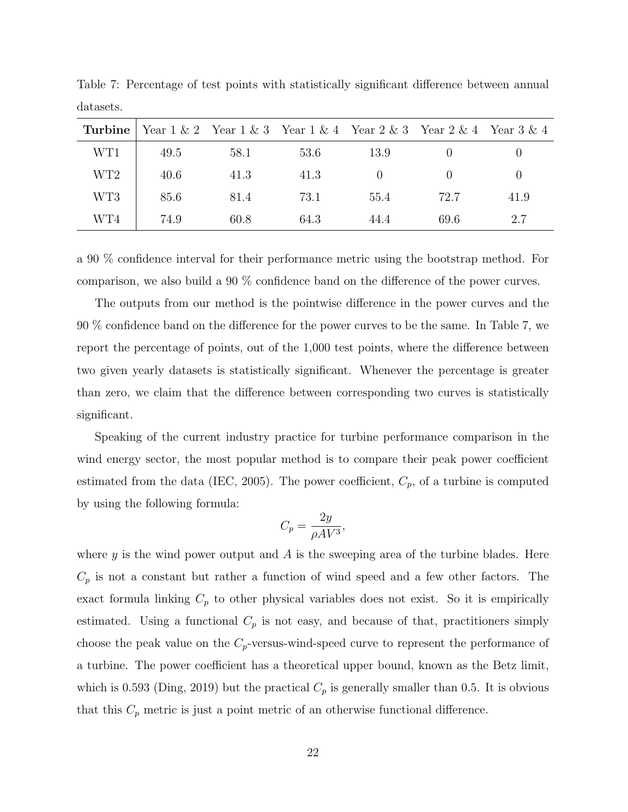| Turbine         |      |      |      |      | Year $1 \& 2$ Year $1 \& 3$ Year $1 \& 4$ Year $2 \& 3$ Year $2 \& 4$ Year $3 \& 4$ |          |
|-----------------|------|------|------|------|-------------------------------------------------------------------------------------|----------|
| WT1             | 49.5 | 58.1 | 53.6 | 13.9 |                                                                                     |          |
| WT <sub>2</sub> | 40.6 | 41.3 | 41.3 |      | $\left( \right)$                                                                    | $\theta$ |
| WT3             | 85.6 | 81.4 | 73.1 | 55.4 | 72.7                                                                                | 41.9     |
| WT4             | 74.9 | 60.8 | 64.3 | 44.4 | 69.6                                                                                | 2.7      |

Table 7: Percentage of test points with statistically significant difference between annual datasets.

a 90 % confidence interval for their performance metric using the bootstrap method. For comparison, we also build a 90 % confidence band on the difference of the power curves.

The outputs from our method is the pointwise difference in the power curves and the 90 % confidence band on the difference for the power curves to be the same. In Table 7, we report the percentage of points, out of the 1,000 test points, where the difference between two given yearly datasets is statistically significant. Whenever the percentage is greater than zero, we claim that the difference between corresponding two curves is statistically significant.

Speaking of the current industry practice for turbine performance comparison in the wind energy sector, the most popular method is to compare their peak power coefficient estimated from the data (IEC, 2005). The power coefficient,  $C_p$ , of a turbine is computed by using the following formula:

$$
C_p = \frac{2y}{\rho A V^3},
$$

where y is the wind power output and  $A$  is the sweeping area of the turbine blades. Here  $C_p$  is not a constant but rather a function of wind speed and a few other factors. The exact formula linking  $C_p$  to other physical variables does not exist. So it is empirically estimated. Using a functional  $C_p$  is not easy, and because of that, practitioners simply choose the peak value on the  $C_p$ -versus-wind-speed curve to represent the performance of a turbine. The power coefficient has a theoretical upper bound, known as the Betz limit, which is 0.593 (Ding, 2019) but the practical  $C_p$  is generally smaller than 0.5. It is obvious that this  $C_p$  metric is just a point metric of an otherwise functional difference.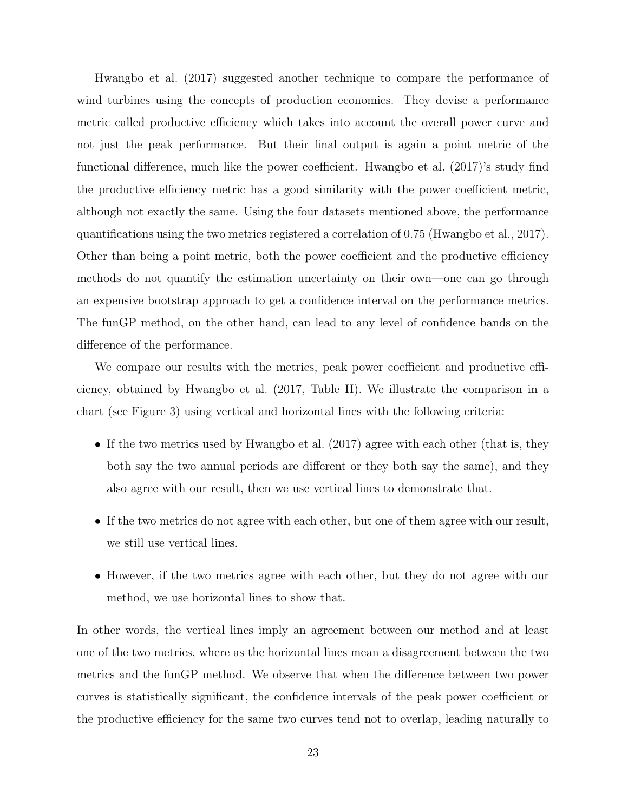Hwangbo et al. (2017) suggested another technique to compare the performance of wind turbines using the concepts of production economics. They devise a performance metric called productive efficiency which takes into account the overall power curve and not just the peak performance. But their final output is again a point metric of the functional difference, much like the power coefficient. Hwangbo et al. (2017)'s study find the productive efficiency metric has a good similarity with the power coefficient metric, although not exactly the same. Using the four datasets mentioned above, the performance quantifications using the two metrics registered a correlation of 0.75 (Hwangbo et al., 2017). Other than being a point metric, both the power coefficient and the productive efficiency methods do not quantify the estimation uncertainty on their own—one can go through an expensive bootstrap approach to get a confidence interval on the performance metrics. The funGP method, on the other hand, can lead to any level of confidence bands on the difference of the performance.

We compare our results with the metrics, peak power coefficient and productive efficiency, obtained by Hwangbo et al. (2017, Table II). We illustrate the comparison in a chart (see Figure 3) using vertical and horizontal lines with the following criteria:

- If the two metrics used by Hwangbo et al. (2017) agree with each other (that is, they both say the two annual periods are different or they both say the same), and they also agree with our result, then we use vertical lines to demonstrate that.
- If the two metrics do not agree with each other, but one of them agree with our result, we still use vertical lines.
- However, if the two metrics agree with each other, but they do not agree with our method, we use horizontal lines to show that.

In other words, the vertical lines imply an agreement between our method and at least one of the two metrics, where as the horizontal lines mean a disagreement between the two metrics and the funGP method. We observe that when the difference between two power curves is statistically significant, the confidence intervals of the peak power coefficient or the productive efficiency for the same two curves tend not to overlap, leading naturally to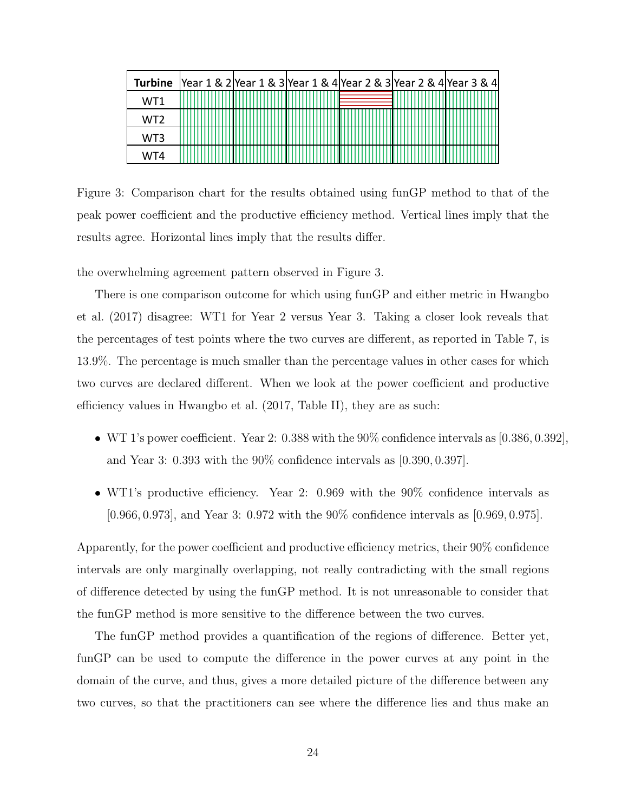| <b>Turbine</b> |  | Year 1 & 2 Year 1 & 3 Year 1 & 4 Year 2 & 3 Year 2 & 4 Year 3 & 4 |  |
|----------------|--|-------------------------------------------------------------------|--|
| WT1            |  |                                                                   |  |
| WT2            |  |                                                                   |  |
| WT3            |  |                                                                   |  |
| WT4            |  |                                                                   |  |

Figure 3: Comparison chart for the results obtained using funGP method to that of the peak power coefficient and the productive efficiency method. Vertical lines imply that the results agree. Horizontal lines imply that the results differ.

the overwhelming agreement pattern observed in Figure 3.

There is one comparison outcome for which using funGP and either metric in Hwangbo et al. (2017) disagree: WT1 for Year 2 versus Year 3. Taking a closer look reveals that the percentages of test points where the two curves are different, as reported in Table 7, is 13.9%. The percentage is much smaller than the percentage values in other cases for which two curves are declared different. When we look at the power coefficient and productive efficiency values in Hwangbo et al. (2017, Table II), they are as such:

- WT 1's power coefficient. Year 2: 0.388 with the  $90\%$  confidence intervals as  $[0.386, 0.392]$ , and Year 3: 0.393 with the 90% confidence intervals as [0.390, 0.397].
- WT1's productive efficiency. Year 2: 0.969 with the 90% confidence intervals as [0.966, 0.973], and Year 3: 0.972 with the 90% confidence intervals as [0.969, 0.975].

Apparently, for the power coefficient and productive efficiency metrics, their 90% confidence intervals are only marginally overlapping, not really contradicting with the small regions of difference detected by using the funGP method. It is not unreasonable to consider that the funGP method is more sensitive to the difference between the two curves.

The funGP method provides a quantification of the regions of difference. Better yet, funGP can be used to compute the difference in the power curves at any point in the domain of the curve, and thus, gives a more detailed picture of the difference between any two curves, so that the practitioners can see where the difference lies and thus make an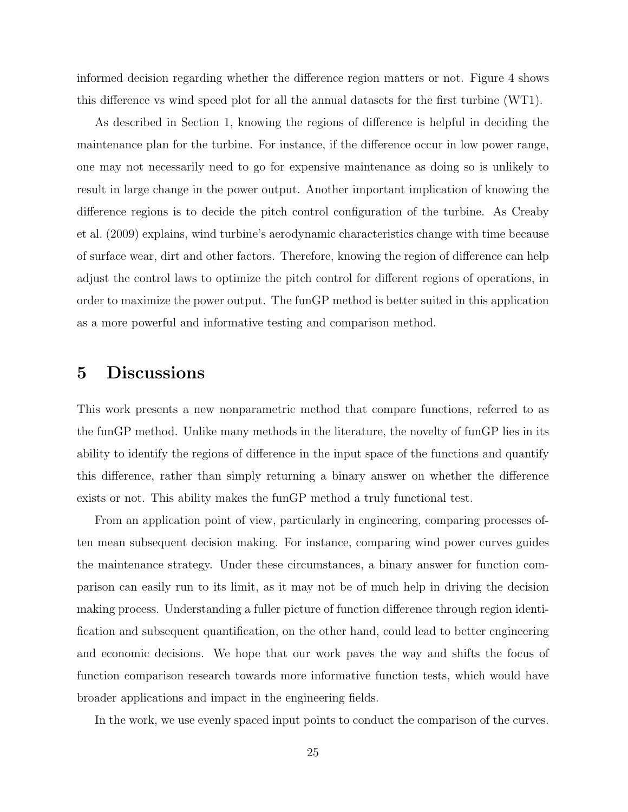informed decision regarding whether the difference region matters or not. Figure 4 shows this difference vs wind speed plot for all the annual datasets for the first turbine (WT1).

As described in Section 1, knowing the regions of difference is helpful in deciding the maintenance plan for the turbine. For instance, if the difference occur in low power range, one may not necessarily need to go for expensive maintenance as doing so is unlikely to result in large change in the power output. Another important implication of knowing the difference regions is to decide the pitch control configuration of the turbine. As Creaby et al. (2009) explains, wind turbine's aerodynamic characteristics change with time because of surface wear, dirt and other factors. Therefore, knowing the region of difference can help adjust the control laws to optimize the pitch control for different regions of operations, in order to maximize the power output. The funGP method is better suited in this application as a more powerful and informative testing and comparison method.

### 5 Discussions

This work presents a new nonparametric method that compare functions, referred to as the funGP method. Unlike many methods in the literature, the novelty of funGP lies in its ability to identify the regions of difference in the input space of the functions and quantify this difference, rather than simply returning a binary answer on whether the difference exists or not. This ability makes the funGP method a truly functional test.

From an application point of view, particularly in engineering, comparing processes often mean subsequent decision making. For instance, comparing wind power curves guides the maintenance strategy. Under these circumstances, a binary answer for function comparison can easily run to its limit, as it may not be of much help in driving the decision making process. Understanding a fuller picture of function difference through region identification and subsequent quantification, on the other hand, could lead to better engineering and economic decisions. We hope that our work paves the way and shifts the focus of function comparison research towards more informative function tests, which would have broader applications and impact in the engineering fields.

In the work, we use evenly spaced input points to conduct the comparison of the curves.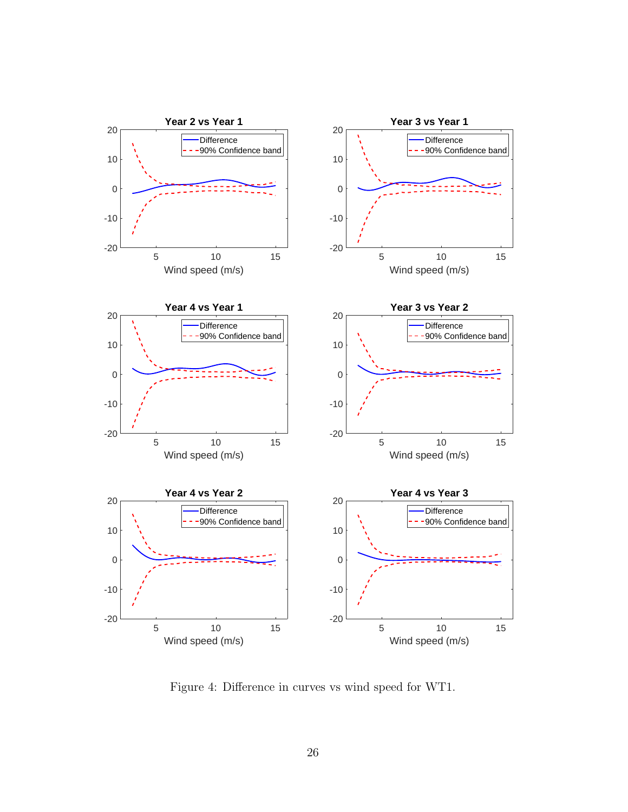

Figure 4: Difference in curves vs wind speed for WT1.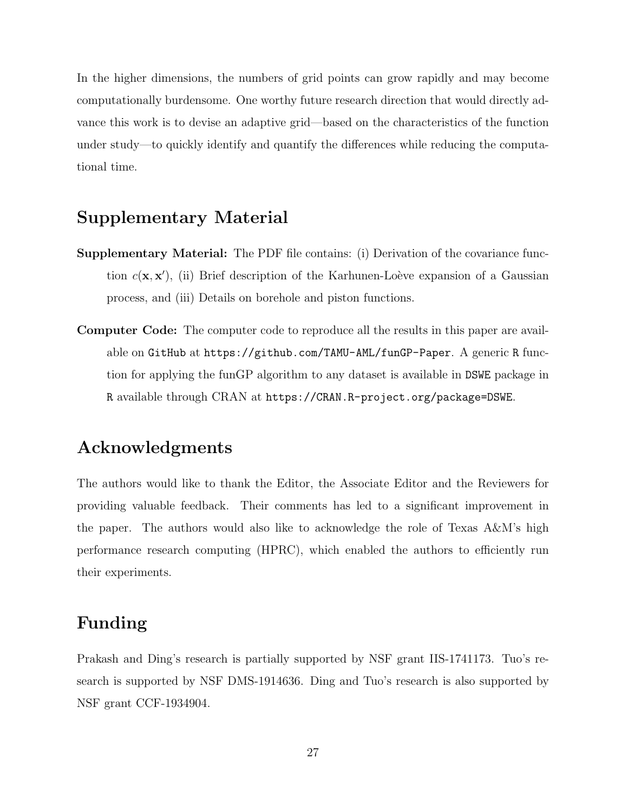In the higher dimensions, the numbers of grid points can grow rapidly and may become computationally burdensome. One worthy future research direction that would directly advance this work is to devise an adaptive grid—based on the characteristics of the function under study—to quickly identify and quantify the differences while reducing the computational time.

# Supplementary Material

- Supplementary Material: The PDF file contains: (i) Derivation of the covariance function  $c(\mathbf{x}, \mathbf{x}')$ , (ii) Brief description of the Karhunen-Loève expansion of a Gaussian process, and (iii) Details on borehole and piston functions.
- Computer Code: The computer code to reproduce all the results in this paper are available on GitHub at https://github.com/TAMU-AML/funGP-Paper. A generic R function for applying the funGP algorithm to any dataset is available in DSWE package in R available through CRAN at https://CRAN.R-project.org/package=DSWE.

### Acknowledgments

The authors would like to thank the Editor, the Associate Editor and the Reviewers for providing valuable feedback. Their comments has led to a significant improvement in the paper. The authors would also like to acknowledge the role of Texas A&M's high performance research computing (HPRC), which enabled the authors to efficiently run their experiments.

# Funding

Prakash and Ding's research is partially supported by NSF grant IIS-1741173. Tuo's research is supported by NSF DMS-1914636. Ding and Tuo's research is also supported by NSF grant CCF-1934904.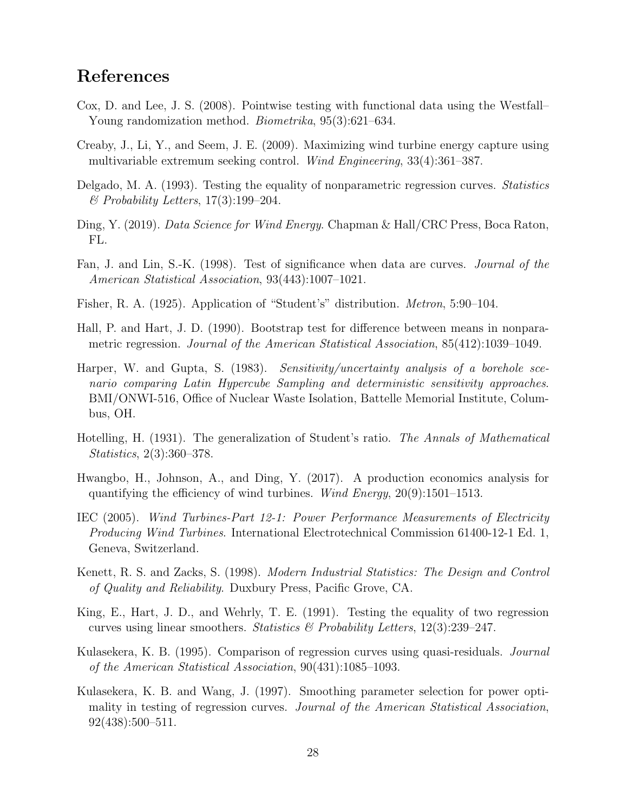# References

- Cox, D. and Lee, J. S. (2008). Pointwise testing with functional data using the Westfall– Young randomization method. Biometrika, 95(3):621–634.
- Creaby, J., Li, Y., and Seem, J. E. (2009). Maximizing wind turbine energy capture using multivariable extremum seeking control. Wind Engineering, 33(4):361–387.
- Delgado, M. A. (1993). Testing the equality of nonparametric regression curves. Statistics  $\mathscr$ *Probability Letters*, 17(3):199–204.
- Ding, Y. (2019). Data Science for Wind Energy. Chapman & Hall/CRC Press, Boca Raton, FL.
- Fan, J. and Lin, S.-K. (1998). Test of significance when data are curves. Journal of the American Statistical Association, 93(443):1007–1021.
- Fisher, R. A. (1925). Application of "Student's" distribution. Metron, 5:90–104.
- Hall, P. and Hart, J. D. (1990). Bootstrap test for difference between means in nonparametric regression. Journal of the American Statistical Association, 85(412):1039–1049.
- Harper, W. and Gupta, S. (1983). Sensitivity/uncertainty analysis of a borehole scenario comparing Latin Hypercube Sampling and deterministic sensitivity approaches. BMI/ONWI-516, Office of Nuclear Waste Isolation, Battelle Memorial Institute, Columbus, OH.
- Hotelling, H. (1931). The generalization of Student's ratio. The Annals of Mathematical Statistics, 2(3):360–378.
- Hwangbo, H., Johnson, A., and Ding, Y. (2017). A production economics analysis for quantifying the efficiency of wind turbines. Wind Energy,  $20(9)$ :1501–1513.
- IEC (2005). Wind Turbines-Part 12-1: Power Performance Measurements of Electricity Producing Wind Turbines. International Electrotechnical Commission 61400-12-1 Ed. 1, Geneva, Switzerland.
- Kenett, R. S. and Zacks, S. (1998). Modern Industrial Statistics: The Design and Control of Quality and Reliability. Duxbury Press, Pacific Grove, CA.
- King, E., Hart, J. D., and Wehrly, T. E. (1991). Testing the equality of two regression curves using linear smoothers. Statistics  $\mathcal{B}$  Probability Letters, 12(3):239–247.
- Kulasekera, K. B. (1995). Comparison of regression curves using quasi-residuals. *Journal* of the American Statistical Association, 90(431):1085–1093.
- Kulasekera, K. B. and Wang, J. (1997). Smoothing parameter selection for power optimality in testing of regression curves. Journal of the American Statistical Association, 92(438):500–511.